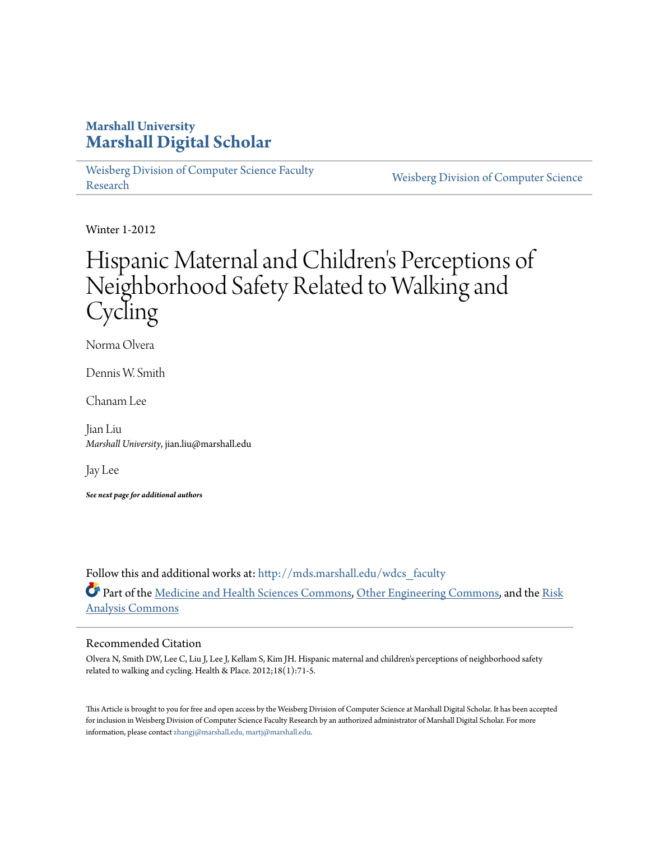## **Marshall University [Marshall Digital Scholar](http://mds.marshall.edu?utm_source=mds.marshall.edu%2Fwdcs_faculty%2F41&utm_medium=PDF&utm_campaign=PDFCoverPages)**

[Weisberg Division of Computer Science Faculty](http://mds.marshall.edu/wdcs_faculty?utm_source=mds.marshall.edu%2Fwdcs_faculty%2F41&utm_medium=PDF&utm_campaign=PDFCoverPages) [Research](http://mds.marshall.edu/wdcs_faculty?utm_source=mds.marshall.edu%2Fwdcs_faculty%2F41&utm_medium=PDF&utm_campaign=PDFCoverPages) [Weisberg Division of Computer Science](http://mds.marshall.edu/wdcs?utm_source=mds.marshall.edu%2Fwdcs_faculty%2F41&utm_medium=PDF&utm_campaign=PDFCoverPages) Research

Winter 1-2012

# Hispanic Maternal and Children 's Perceptions of Neighborhood Safety Related to Walking and **Cycling**

Norma Olvera

Dennis W. Smith

Chanam Lee

Jian Liu *Marshall University*, jian.liu@marshall.edu

Jay Lee

*See next page for additional authors*

Follow this and additional works at: [http://mds.marshall.edu/wdcs\\_faculty](http://mds.marshall.edu/wdcs_faculty?utm_source=mds.marshall.edu%2Fwdcs_faculty%2F41&utm_medium=PDF&utm_campaign=PDFCoverPages) Part of the [Medicine and Health Sciences Commons](http://network.bepress.com/hgg/discipline/648?utm_source=mds.marshall.edu%2Fwdcs_faculty%2F41&utm_medium=PDF&utm_campaign=PDFCoverPages), [Other Engineering Commons](http://network.bepress.com/hgg/discipline/315?utm_source=mds.marshall.edu%2Fwdcs_faculty%2F41&utm_medium=PDF&utm_campaign=PDFCoverPages), and the [Risk](http://network.bepress.com/hgg/discipline/1199?utm_source=mds.marshall.edu%2Fwdcs_faculty%2F41&utm_medium=PDF&utm_campaign=PDFCoverPages) [Analysis Commons](http://network.bepress.com/hgg/discipline/1199?utm_source=mds.marshall.edu%2Fwdcs_faculty%2F41&utm_medium=PDF&utm_campaign=PDFCoverPages)

## Recommended Citation

Olvera N, Smith DW, Lee C, Liu J, Lee J, Kellam S, Kim JH. Hispanic maternal and children's perceptions of neighborhood safety related to walking and cycling. Health & Place. 2012;18(1):71-5.

This Article is brought to you for free and open access by the Weisberg Division of Computer Science at Marshall Digital Scholar. It has been accepted for inclusion in Weisberg Division of Computer Science Faculty Research by an authorized administrator of Marshall Digital Scholar. For more information, please contact [zhangj@marshall.edu, martj@marshall.edu.](mailto:zhangj@marshall.edu,%20martj@marshall.edu)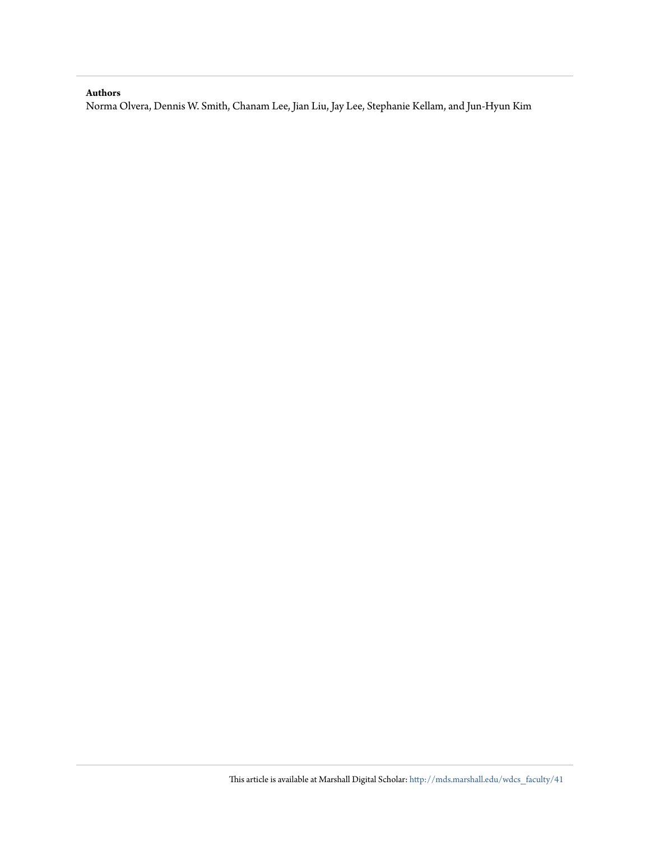### **Authors**

Norma Olvera, Dennis W. Smith, Chanam Lee, Jian Liu, Jay Lee, Stephanie Kellam, and Jun-Hyun Kim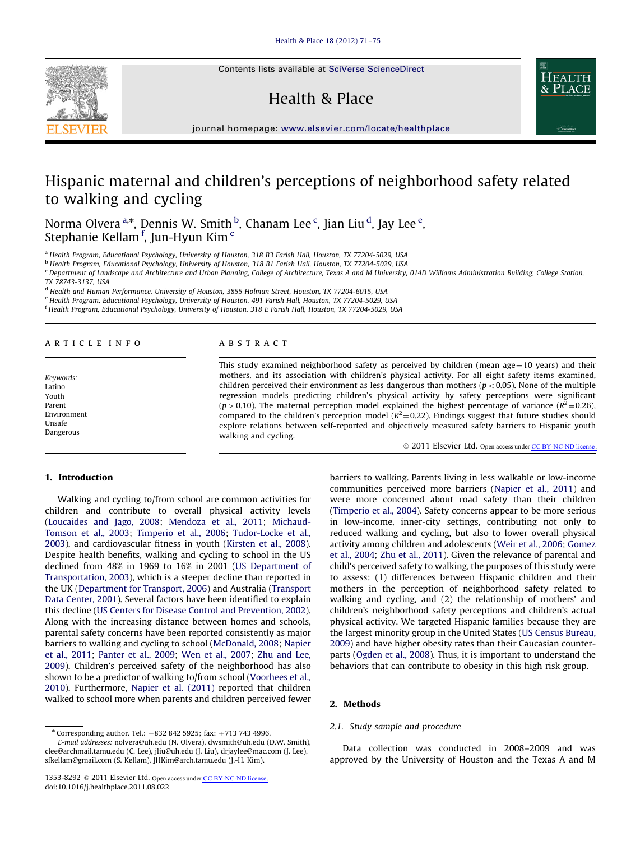Contents lists available at [SciVerse ScienceDirect](www.elsevier.com/locate/healthplace)

## Health & Place



journal homepage: <www.elsevier.com/locate/healthplace>

# Hispanic maternal and children's perceptions of neighborhood safety related to walking and cycling

Norma Olvera <sup>a,\*</sup>, Dennis W. Smith <sup>b</sup>, Chanam Lee <sup>c</sup>, Jian Liu <sup>d</sup>, Jay Lee <sup>e</sup>, Stephanie Kellam <sup>f</sup>, Jun-Hyun Kim <sup>c</sup>

a Health Program, Educational Psychology, University of Houston, 318 B3 Farish Hall, Houston, TX 77204-5029, USA

<sup>b</sup> Health Program, Educational Psychology, University of Houston, 318 B1 Farish Hall, Houston, TX 77204-5029, USA

<sup>c</sup> Department of Landscape and Architecture and Urban Planning, College of Architecture, Texas A and M University, 014D Williams Administration Building, College Station,

<sup>d</sup> Health and Human Performance, University of Houston, 3855 Holman Street, Houston, TX 77204-6015, USA

<sup>e</sup> Health Program, Educational Psychology, University of Houston, 491 Farish Hall, Houston, TX 77204-5029, USA

<sup>f</sup> Health Program, Educational Psychology, University of Houston, 318 E Farish Hall, Houston, TX 77204-5029, USA

#### article info

Keywords: Latino Youth Parent Environment Unsafe Dangerous

#### **ABSTRACT**

This study examined neighborhood safety as perceived by children (mean age $=10$  years) and their mothers, and its association with children's physical activity. For all eight safety items examined, children perceived their environment as less dangerous than mothers ( $p < 0.05$ ). None of the multiple regression models predicting children's physical activity by safety perceptions were significant (p > 0.10). The maternal perception model explained the highest percentage of variance ( $R^2$ =0.26), compared to the children's perception model ( $R^2$ =0.22). Findings suggest that future studies should explore relations between self-reported and objectively measured safety barriers to Hispanic youth walking and cycling.

 $\odot$  2011 Elsevier Ltd. Open access under [CC BY-NC-ND license.](http://creativecommons.org/licenses/by-nc-nd/3.0/)

#### 1. Introduction

Walking and cycling to/from school are common activities for children and contribute to overall physical activity levels ([Loucaides and Jago, 2008;](#page-6-0) [Mendoza et al., 2011](#page-6-0); [Michaud-](#page-6-0)[Tomson et al., 2003](#page-6-0); [Timperio et al., 2006](#page-6-0); [Tudor-Locke et al.,](#page-6-0) [2003\)](#page-6-0), and cardiovascular fitness in youth [\(Kirsten et al., 2008\)](#page-5-0). Despite health benefits, walking and cycling to school in the US declined from 48% in 1969 to 16% in 2001 [\(US Department of](#page-6-0) [Transportation, 2003](#page-6-0)), which is a steeper decline than reported in the UK [\(Department for Transport, 2006](#page-5-0)) and Australia ([Transport](#page-6-0) [Data Center, 2001\)](#page-6-0). Several factors have been identified to explain this decline [\(US Centers for Disease Control and Prevention, 2002\)](#page-6-0). Along with the increasing distance between homes and schools, parental safety concerns have been reported consistently as major barriers to walking and cycling to school [\(McDonald, 2008](#page-6-0); [Napier](#page-6-0) [et al., 2011;](#page-6-0) [Panter et al., 2009](#page-6-0); [Wen et al., 2007;](#page-6-0) [Zhu and Lee,](#page-6-0) [2009\)](#page-6-0). Children's perceived safety of the neighborhood has also shown to be a predictor of walking to/from school [\(Voorhees et al.,](#page-6-0) [2010\)](#page-6-0). Furthermore, [Napier et al. \(2011\)](#page-6-0) reported that children walked to school more when parents and children perceived fewer

barriers to walking. Parents living in less walkable or low-income communities perceived more barriers ([Napier et al., 2011](#page-6-0)) and were more concerned about road safety than their children ([Timperio et al., 2004](#page-6-0)). Safety concerns appear to be more serious in low-income, inner-city settings, contributing not only to reduced walking and cycling, but also to lower overall physical activity among children and adolescents [\(Weir et al., 2006](#page-6-0); [Gomez](#page-5-0) [et al., 2004;](#page-5-0) [Zhu et al., 2011](#page-6-0)). Given the relevance of parental and child's perceived safety to walking, the purposes of this study were to assess: (1) differences between Hispanic children and their mothers in the perception of neighborhood safety related to walking and cycling, and (2) the relationship of mothers' and children's neighborhood safety perceptions and children's actual physical activity. We targeted Hispanic families because they are the largest minority group in the United States ([US Census Bureau,](#page-6-0) [2009](#page-6-0)) and have higher obesity rates than their Caucasian counterparts [\(Ogden et al., 2008\)](#page-6-0). Thus, it is important to understand the behaviors that can contribute to obesity in this high risk group.

#### 2. Methods

#### 2.1. Study sample and procedure

Data collection was conducted in 2008–2009 and was approved by the University of Houston and the Texas A and M



TX 78743-3137, USA

 $*$  Corresponding author. Tel.:  $+8328425925$ ; fax:  $+7137434996$ .

E-mail addresses: [nolvera@uh.edu \(N. Olvera\),](mailto:nolvera@uh.edu) [dwsmith@uh.edu \(D.W. Smith\)](mailto:dwsmith@uh.edu), [clee@archmail.tamu.edu \(C. Lee\),](mailto:clee@archmail.tamu.edu) [jliu@uh.edu \(J. Liu\),](mailto:jliu@uh.edu) [drjaylee@mac.com \(J. Lee\),](mailto:drjaylee@mac.com) [sfkellam@gmail.com \(S. Kellam\)](mailto:sfkellam@gmail.com), [JHKim@arch.tamu.edu \(J.-H. Kim\)](mailto:JHKim@arch.tamu.edu).

<sup>1353-8292 © 2011</sup> Elsevier Ltd. Open access under [CC BY-NC-ND license.](http://creativecommons.org/licenses/by-nc-nd/3.0/) doi:[10.1016/j.healthplace.2011.08.022](dx.doi.org/10.1016/j.healthplace.2011.08.022)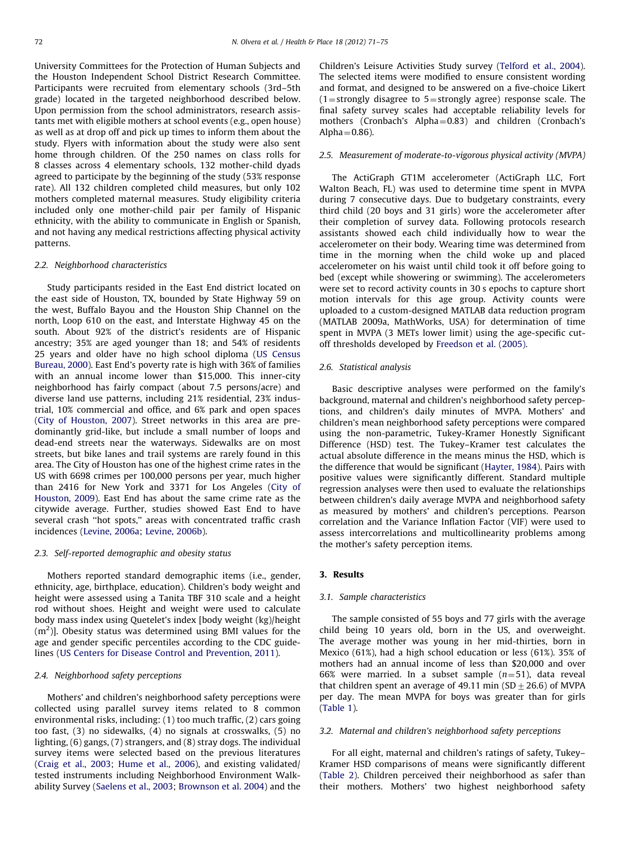University Committees for the Protection of Human Subjects and the Houston Independent School District Research Committee. Participants were recruited from elementary schools (3rd–5th grade) located in the targeted neighborhood described below. Upon permission from the school administrators, research assistants met with eligible mothers at school events (e.g., open house) as well as at drop off and pick up times to inform them about the study. Flyers with information about the study were also sent home through children. Of the 250 names on class rolls for 8 classes across 4 elementary schools, 132 mother-child dyads agreed to participate by the beginning of the study (53% response rate). All 132 children completed child measures, but only 102 mothers completed maternal measures. Study eligibility criteria included only one mother-child pair per family of Hispanic ethnicity, with the ability to communicate in English or Spanish, and not having any medical restrictions affecting physical activity patterns.

#### 2.2. Neighborhood characteristics

Study participants resided in the East End district located on the east side of Houston, TX, bounded by State Highway 59 on the west, Buffalo Bayou and the Houston Ship Channel on the north, Loop 610 on the east, and Interstate Highway 45 on the south. About 92% of the district's residents are of Hispanic ancestry; 35% are aged younger than 18; and 54% of residents 25 years and older have no high school diploma [\(US Census](#page-6-0) [Bureau, 2000\)](#page-6-0). East End's poverty rate is high with 36% of families with an annual income lower than \$15,000. This inner-city neighborhood has fairly compact (about 7.5 persons/acre) and diverse land use patterns, including 21% residential, 23% industrial, 10% commercial and office, and 6% park and open spaces ([City of Houston, 2007\)](#page-5-0). Street networks in this area are predominantly grid-like, but include a small number of loops and dead-end streets near the waterways. Sidewalks are on most streets, but bike lanes and trail systems are rarely found in this area. The City of Houston has one of the highest crime rates in the US with 6698 crimes per 100,000 persons per year, much higher than 2416 for New York and 3371 for Los Angeles [\(City of](#page-5-0) [Houston, 2009\)](#page-5-0). East End has about the same crime rate as the citywide average. Further, studies showed East End to have several crash ''hot spots,'' areas with concentrated traffic crash incidences ([Levine, 2006a;](#page-5-0) [Levine, 2006b\)](#page-6-0).

#### 2.3. Self-reported demographic and obesity status

Mothers reported standard demographic items (i.e., gender, ethnicity, age, birthplace, education). Children's body weight and height were assessed using a Tanita TBF 310 scale and a height rod without shoes. Height and weight were used to calculate body mass index using Quetelet's index [body weight (kg)/height  $(m<sup>2</sup>)$ ]. Obesity status was determined using BMI values for the age and gender specific percentiles according to the CDC guidelines ([US Centers for Disease Control and Prevention, 2011\)](#page-6-0).

#### 2.4. Neighborhood safety perceptions

Mothers' and children's neighborhood safety perceptions were collected using parallel survey items related to 8 common environmental risks, including: (1) too much traffic, (2) cars going too fast, (3) no sidewalks, (4) no signals at crosswalks, (5) no lighting, (6) gangs, (7) strangers, and (8) stray dogs. The individual survey items were selected based on the previous literatures ([Craig et al., 2003;](#page-5-0) [Hume et al., 2006](#page-5-0)), and existing validated/ tested instruments including Neighborhood Environment Walkability Survey ([Saelens et al., 2003](#page-6-0); [Brownson et al. 2004](#page-5-0)) and the Children's Leisure Activities Study survey [\(Telford et al., 2004\)](#page-6-0). The selected items were modified to ensure consistent wording and format, and designed to be answered on a five-choice Likert  $(1 =$ strongly disagree to  $5 =$ strongly agree) response scale. The final safety survey scales had acceptable reliability levels for mothers (Cronbach's Alpha=0.83) and children (Cronbach's Alpha $=0.86$ ).

#### 2.5. Measurement of moderate-to-vigorous physical activity (MVPA)

The ActiGraph GT1M accelerometer (ActiGraph LLC, Fort Walton Beach, FL) was used to determine time spent in MVPA during 7 consecutive days. Due to budgetary constraints, every third child (20 boys and 31 girls) wore the accelerometer after their completion of survey data. Following protocols research assistants showed each child individually how to wear the accelerometer on their body. Wearing time was determined from time in the morning when the child woke up and placed accelerometer on his waist until child took it off before going to bed (except while showering or swimming). The accelerometers were set to record activity counts in 30 s epochs to capture short motion intervals for this age group. Activity counts were uploaded to a custom-designed MATLAB data reduction program (MATLAB 2009a, MathWorks, USA) for determination of time spent in MVPA (3 METs lower limit) using the age-specific cutoff thresholds developed by [Freedson et al. \(2005\)](#page-5-0).

#### 2.6. Statistical analysis

Basic descriptive analyses were performed on the family's background, maternal and children's neighborhood safety perceptions, and children's daily minutes of MVPA. Mothers' and children's mean neighborhood safety perceptions were compared using the non-parametric, Tukey-Kramer Honestly Significant Difference (HSD) test. The Tukey–Kramer test calculates the actual absolute difference in the means minus the HSD, which is the difference that would be significant ([Hayter, 1984\)](#page-5-0). Pairs with positive values were significantly different. Standard multiple regression analyses were then used to evaluate the relationships between children's daily average MVPA and neighborhood safety as measured by mothers' and children's perceptions. Pearson correlation and the Variance Inflation Factor (VIF) were used to assess intercorrelations and multicollinearity problems among the mother's safety perception items.

#### 3. Results

#### 3.1. Sample characteristics

The sample consisted of 55 boys and 77 girls with the average child being 10 years old, born in the US, and overweight. The average mother was young in her mid-thirties, born in Mexico (61%), had a high school education or less (61%). 35% of mothers had an annual income of less than \$20,000 and over 66% were married. In a subset sample  $(n=51)$ , data reveal that children spent an average of 49.11 min (SD  $\pm$  26.6) of MVPA per day. The mean MVPA for boys was greater than for girls ([Table 1\)](#page-4-0).

#### 3.2. Maternal and children's neighborhood safety perceptions

For all eight, maternal and children's ratings of safety, Tukey– Kramer HSD comparisons of means were significantly different ([Table 2](#page-4-0)). Children perceived their neighborhood as safer than their mothers. Mothers' two highest neighborhood safety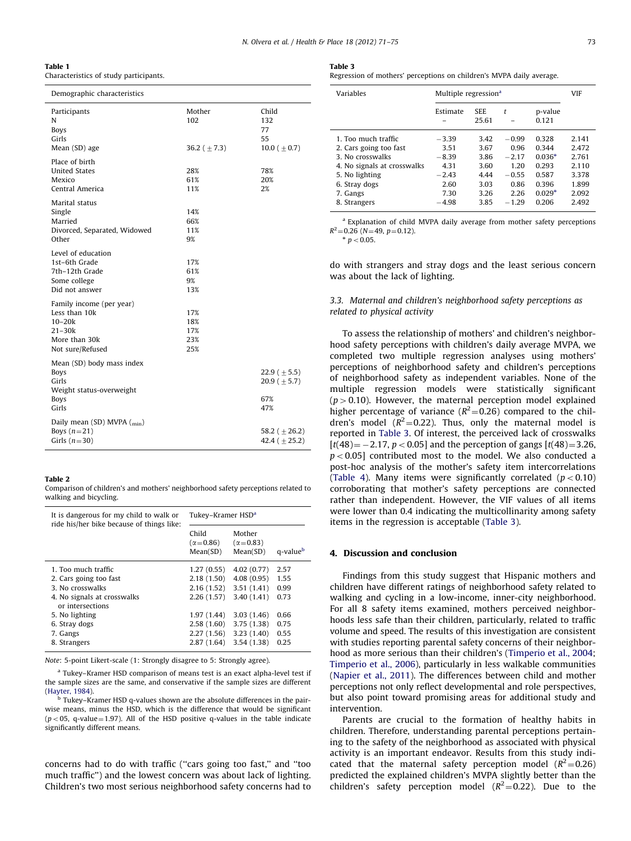<span id="page-4-0"></span>

| Table 1                                |  |
|----------------------------------------|--|
| Characteristics of study participants. |  |

| Demographic characteristics                                                                            |                                    |                                                        |
|--------------------------------------------------------------------------------------------------------|------------------------------------|--------------------------------------------------------|
| Participants<br>N<br><b>Boys</b><br>Girls<br>Mean (SD) age                                             | Mother<br>102<br>36.2 ( $\pm$ 7.3) | Child<br>132<br>77<br>55<br>10.0 ( $\pm$ 0.7)          |
| Place of birth<br><b>United States</b><br>Mexico<br>Central America                                    | 28%<br>61%<br>11%                  | 78%<br>20%<br>2%                                       |
| Marital status<br>Single<br>Married<br>Divorced, Separated, Widowed<br>Other                           | 14%<br>66%<br>11%<br>9%            |                                                        |
| Level of education<br>1st-6th Grade<br>7th-12th Grade<br>Some college<br>Did not answer                | 17%<br>61%<br>9%<br>13%            |                                                        |
| Family income (per year)<br>Less than 10k<br>$10 - 20k$<br>21–30k<br>More than 30k<br>Not sure/Refused | 17%<br>18%<br>17%<br>23%<br>25%    |                                                        |
| Mean (SD) body mass index<br><b>Boys</b><br>Girls<br>Weight status-overweight<br>Boys<br>Girls         |                                    | 22.9 ( $\pm$ 5.5)<br>$20.9$ ( $\pm$ 5.7)<br>67%<br>47% |
| Daily mean (SD) MVPA $\binom{min}{m}$<br>Boys $(n=21)$<br>Girls $(n=30)$                               |                                    | 58.2 ( $\pm$ 26.2)<br>42.4 ( $\pm$ 25.2)               |

#### Table 2

Comparison of children's and mothers' neighborhood safety perceptions related to walking and bicycling.

| It is dangerous for my child to walk or<br>ride his/her bike because of things like:                                                                                                | Tukey–Kramer HSD <sup>a</sup>                                                                                |                                                                                                              |                                                              |  |
|-------------------------------------------------------------------------------------------------------------------------------------------------------------------------------------|--------------------------------------------------------------------------------------------------------------|--------------------------------------------------------------------------------------------------------------|--------------------------------------------------------------|--|
|                                                                                                                                                                                     | Child<br>$(\alpha = 0.86)$<br>Mean(SD)                                                                       | Mother<br>$(\alpha = 0.83)$<br>Mean(SD)                                                                      | q-value <sup>b</sup>                                         |  |
| 1. Too much traffic<br>2. Cars going too fast<br>3. No crosswalks<br>4. No signals at crosswalks<br>or intersections<br>5. No lighting<br>6. Stray dogs<br>7. Gangs<br>8. Strangers | 1.27(0.55)<br>2.18(1.50)<br>2.16(1.52)<br>2.26(1.57)<br>1.97(1.44)<br>2.58(1.60)<br>2.27(1.56)<br>2.87(1.64) | 4.02(0.77)<br>4.08(0.95)<br>3.51(1.41)<br>3.40(1.41)<br>3.03(1.46)<br>3.75(1.38)<br>3.23(1.40)<br>3.54(1.38) | 2.57<br>1.55<br>0.99<br>0.73<br>0.66<br>0.75<br>0.55<br>0.25 |  |

Note: 5-point Likert-scale (1: Strongly disagree to 5: Strongly agree).

<sup>a</sup> Tukey–Kramer HSD comparison of means test is an exact alpha-level test if the sample sizes are the same, and conservative if the sample sizes are different [\(Hayter, 1984\)](#page-5-0).

Tukey–Kramer HSD q-values shown are the absolute differences in the pairwise means, minus the HSD, which is the difference that would be significant  $(p<05, q-value=1.97)$ . All of the HSD positive q-values in the table indicate significantly different means.

concerns had to do with traffic (''cars going too fast,'' and ''too much traffic'') and the lowest concern was about lack of lighting. Children's two most serious neighborhood safety concerns had to

| . .<br>$\sim$ |  |
|---------------|--|
|---------------|--|

Regression of mothers' perceptions on children's MVPA daily average.

| Variables                                                                                                                                                       | Multiple regression <sup>a</sup>                                         | VIF                                                          |                                                                           |                                                                            |                                                                      |
|-----------------------------------------------------------------------------------------------------------------------------------------------------------------|--------------------------------------------------------------------------|--------------------------------------------------------------|---------------------------------------------------------------------------|----------------------------------------------------------------------------|----------------------------------------------------------------------|
|                                                                                                                                                                 | Estimate                                                                 | <b>SEE</b><br>25.61                                          | t                                                                         | p-value<br>0.121                                                           |                                                                      |
| 1. Too much traffic<br>2. Cars going too fast<br>3. No crosswalks<br>4. No signals at crosswalks<br>5. No lighting<br>6. Stray dogs<br>7. Gangs<br>8. Strangers | $-3.39$<br>3.51<br>$-8.39$<br>4.31<br>$-2.43$<br>2.60<br>7.30<br>$-4.98$ | 3.42<br>3.67<br>3.86<br>3.60<br>4.44<br>3.03<br>3.26<br>3.85 | $-0.99$<br>0.96<br>$-2.17$<br>1 2 0<br>$-0.55$<br>0.86<br>2.26<br>$-1.29$ | 0.328<br>0.344<br>$0.036*$<br>0.293<br>0.587<br>0.396<br>$0.029*$<br>0.206 | 2.141<br>2.472<br>2.761<br>2.110<br>3.378<br>1.899<br>2.092<br>2.492 |

<sup>a</sup> Explanation of child MVPA daily average from mother safety perceptions  $R^2$ =0.26 (N=49, p=0.12).  $p < 0.05$ .

do with strangers and stray dogs and the least serious concern was about the lack of lighting.

#### 3.3. Maternal and children's neighborhood safety perceptions as related to physical activity

To assess the relationship of mothers' and children's neighborhood safety perceptions with children's daily average MVPA, we completed two multiple regression analyses using mothers' perceptions of neighborhood safety and children's perceptions of neighborhood safety as independent variables. None of the multiple regression models were statistically significant  $(p>0.10)$ . However, the maternal perception model explained higher percentage of variance ( $R^2$ =0.26) compared to the children's model ( $R^2$ =0.22). Thus, only the maternal model is reported in Table 3. Of interest, the perceived lack of crosswalks  $[t(48) = -2.17, p < 0.05]$  and the perception of gangs  $[t(48) = 3.26]$  $p < 0.05$ ] contributed most to the model. We also conducted a post-hoc analysis of the mother's safety item intercorrelations ([Table 4\)](#page-5-0). Many items were significantly correlated  $(p < 0.10)$ corroborating that mother's safety perceptions are connected rather than independent. However, the VIF values of all items were lower than 0.4 indicating the multicollinarity among safety items in the regression is acceptable (Table 3).

#### 4. Discussion and conclusion

Findings from this study suggest that Hispanic mothers and children have different ratings of neighborhood safety related to walking and cycling in a low-income, inner-city neighborhood. For all 8 safety items examined, mothers perceived neighborhoods less safe than their children, particularly, related to traffic volume and speed. The results of this investigation are consistent with studies reporting parental safety concerns of their neighborhood as more serious than their children's [\(Timperio et al., 2004;](#page-6-0) [Timperio et al., 2006](#page-6-0)), particularly in less walkable communities ([Napier et al., 2011](#page-6-0)). The differences between child and mother perceptions not only reflect developmental and role perspectives, but also point toward promising areas for additional study and intervention.

Parents are crucial to the formation of healthy habits in children. Therefore, understanding parental perceptions pertaining to the safety of the neighborhood as associated with physical activity is an important endeavor. Results from this study indicated that the maternal safety perception model ( $R^2$ =0.26) predicted the explained children's MVPA slightly better than the children's safety perception model ( $R^2$ =0.22). Due to the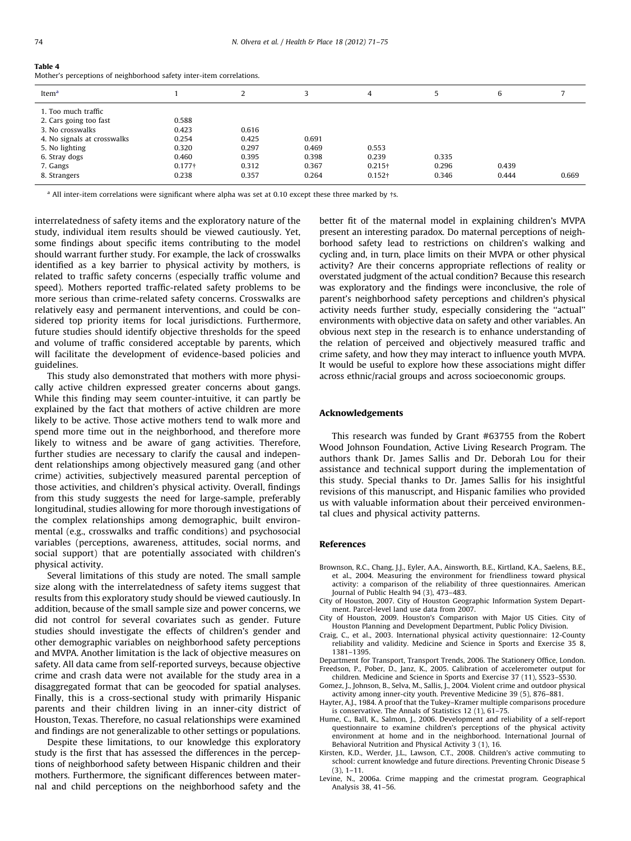#### <span id="page-5-0"></span>Table 4

Mother's perceptions of neighborhood safety inter-item correlations.

| Item <sup>a</sup>                             |                    | ∠              | 3              | 4                    | 5              | 6              |       |
|-----------------------------------------------|--------------------|----------------|----------------|----------------------|----------------|----------------|-------|
| 1. Too much traffic<br>2. Cars going too fast | 0.588              |                |                |                      |                |                |       |
| 3. No crosswalks                              | 0.423              | 0.616          |                |                      |                |                |       |
| 4. No signals at crosswalks<br>5. No lighting | 0.254<br>0.320     | 0.425<br>0.297 | 0.691<br>0.469 | 0.553                |                |                |       |
| 6. Stray dogs                                 | 0.460              | 0.395          | 0.398          | 0.239                | 0.335          |                |       |
| 7. Gangs<br>8. Strangers                      | $0.177 +$<br>0.238 | 0.312<br>0.357 | 0.367<br>0.264 | $0.215+$<br>$0.152+$ | 0.296<br>0.346 | 0.439<br>0.444 | 0.669 |
|                                               |                    |                |                |                      |                |                |       |

 $^{\text{a}}$  All inter-item correlations were significant where alpha was set at 0.10 except these three marked by  $\pm$ s.

interrelatedness of safety items and the exploratory nature of the study, individual item results should be viewed cautiously. Yet, some findings about specific items contributing to the model should warrant further study. For example, the lack of crosswalks identified as a key barrier to physical activity by mothers, is related to traffic safety concerns (especially traffic volume and speed). Mothers reported traffic-related safety problems to be more serious than crime-related safety concerns. Crosswalks are relatively easy and permanent interventions, and could be considered top priority items for local jurisdictions. Furthermore, future studies should identify objective thresholds for the speed and volume of traffic considered acceptable by parents, which will facilitate the development of evidence-based policies and guidelines.

This study also demonstrated that mothers with more physically active children expressed greater concerns about gangs. While this finding may seem counter-intuitive, it can partly be explained by the fact that mothers of active children are more likely to be active. Those active mothers tend to walk more and spend more time out in the neighborhood, and therefore more likely to witness and be aware of gang activities. Therefore, further studies are necessary to clarify the causal and independent relationships among objectively measured gang (and other crime) activities, subjectively measured parental perception of those activities, and children's physical activity. Overall, findings from this study suggests the need for large-sample, preferably longitudinal, studies allowing for more thorough investigations of the complex relationships among demographic, built environmental (e.g., crosswalks and traffic conditions) and psychosocial variables (perceptions, awareness, attitudes, social norms, and social support) that are potentially associated with children's physical activity.

Several limitations of this study are noted. The small sample size along with the interrelatedness of safety items suggest that results from this exploratory study should be viewed cautiously. In addition, because of the small sample size and power concerns, we did not control for several covariates such as gender. Future studies should investigate the effects of children's gender and other demographic variables on neighborhood safety perceptions and MVPA. Another limitation is the lack of objective measures on safety. All data came from self-reported surveys, because objective crime and crash data were not available for the study area in a disaggregated format that can be geocoded for spatial analyses. Finally, this is a cross-sectional study with primarily Hispanic parents and their children living in an inner-city district of Houston, Texas. Therefore, no casual relationships were examined and findings are not generalizable to other settings or populations.

Despite these limitations, to our knowledge this exploratory study is the first that has assessed the differences in the perceptions of neighborhood safety between Hispanic children and their mothers. Furthermore, the significant differences between maternal and child perceptions on the neighborhood safety and the better fit of the maternal model in explaining children's MVPA present an interesting paradox. Do maternal perceptions of neighborhood safety lead to restrictions on children's walking and cycling and, in turn, place limits on their MVPA or other physical activity? Are their concerns appropriate reflections of reality or overstated judgment of the actual condition? Because this research was exploratory and the findings were inconclusive, the role of parent's neighborhood safety perceptions and children's physical activity needs further study, especially considering the ''actual'' environments with objective data on safety and other variables. An obvious next step in the research is to enhance understanding of the relation of perceived and objectively measured traffic and crime safety, and how they may interact to influence youth MVPA. It would be useful to explore how these associations might differ across ethnic/racial groups and across socioeconomic groups.

#### Acknowledgements

This research was funded by Grant #63755 from the Robert Wood Johnson Foundation, Active Living Research Program. The authors thank Dr. James Sallis and Dr. Deborah Lou for their assistance and technical support during the implementation of this study. Special thanks to Dr. James Sallis for his insightful revisions of this manuscript, and Hispanic families who provided us with valuable information about their perceived environmental clues and physical activity patterns.

#### References

- Brownson, R.C., Chang, J.J., Eyler, A.A., Ainsworth, B.E., Kirtland, K.A., Saelens, B.E., et al., 2004. Measuring the environment for friendliness toward physical activity: a comparison of the reliability of three questionnaires. American Journal of Public Health 94 (3), 473–483.
- City of Houston, 2007. City of Houston Geographic Information System Department. Parcel-level land use data from 2007.
- City of Houston, 2009. Houston's Comparison with Major US Cities. City of Houston Planning and Development Department, Public Policy Division.
- Craig, C., et al., 2003. International physical activity questionnaire: 12-County reliability and validity. Medicine and Science in Sports and Exercise 35 8, 1381–1395.
- Department for Transport, Transport Trends, 2006. The Stationery Office, London. Freedson, P., Pober, D., Janz, K., 2005. Calibration of accelerometer output for children. Medicine and Science in Sports and Exercise 37 (11), S523–S530.
- Gomez, J., Johnson, B., Selva, M., Sallis, J., 2004. Violent crime and outdoor physical activity among inner-city youth. Preventive Medicine 39 (5), 876–881.
- Hayter, A.J., 1984. A proof that the Tukey–Kramer multiple comparisons procedure is conservative. The Annals of Statistics 12 (1), 61–75.
- Hume, C., Ball, K., Salmon, J., 2006. Development and reliability of a self-report questionnaire to examine children's perceptions of the physical activity environment at home and in the neighborhood. International Journal of Behavioral Nutrition and Physical Activity 3 (1), 16.
- Kirsten, K.D., Werder, J.L., Lawson, C.T., 2008. Children's active commuting to school: current knowledge and future directions. Preventing Chronic Disease 5 (3), 1–11.
- Levine, N., 2006a. Crime mapping and the crimestat program. Geographical Analysis 38, 41–56.